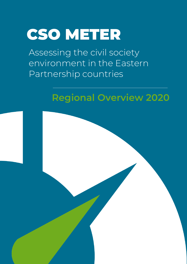# CSO METER

Assessing the civil society environment in the Eastern Partnership countries

### **Regional Overview 2020**

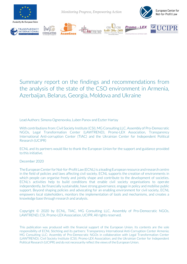

*Monitoring Progress, Empowering Action*





**CONSULTING** 







#### Summary report on the findings and recommendations from the analysis of the state of the CSO environment in Armenia, Azerbaijan, Belarus, Georgia, Moldova and Ukraine

Lead Authors: Simona Ognenovska, Luben Panov and Eszter Hartay

With contributions from: Civil Society Institute (CSI), MG Consulting LLC, Assembly of Pro-Democratic NGOs, Legal Transformation Center (LAWTREND), Promo-LEX Association, Transparency International Anti-corruption Center (TIAC) and the Ukrainian Center for Independent Political Research (UCIPR)

ECNL and its partners would like to thank the European Union for the support and guidance provided to this initiative.

December 2020

The European Center for Not-for-Profit Law (ECNL) is a leading European resource and research centre in the field of policies and laws affecting civil society. ECNL supports the creation of environments in which people can organise freely and jointly shape and contribute to the development of societies. ECNL's activities help to build conditions that enable civil society organisations to operate independently, be financially sustainable, have strong governance, engage in policy and mobilise public support. Beyond shaping policies and advocating for an enabling environment for civil society, ECNL empowers local stakeholders, monitors the implementation of tools and mechanisms, and creates a knowledge base through research and analysis.

Copyright © 2020 by ECNL, TIAC, MG Consulting LLC, Assembly of Pro-Democratic NGOs, LAWTREND, CSI, Promo-LEX Association, UCIPR. All rights reserved.

This publication was produced with the financial support of the European Union. Its contents are the sole responsibility of ECNL Stichting and its partners: Transparency International Anti-Corruption Center Armenia; MG Consulting LLC; Assembly of Pro-Democratic NGOs in collaboration with Legal Transformation Center (LAWTREND); Civil Society Institute (CSI); Promo-LEX Association; and the Ukrainian Center for Independent Political Research (UCIPR) and do not necessarily reflect the views of the European Union.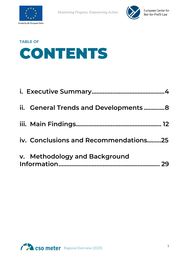



### **TABLE OF**  CONTENTS

| ii. General Trends and Developments 8 |  |
|---------------------------------------|--|
|                                       |  |
| iv. Conclusions and Recommendations25 |  |
| v. Methodology and Background         |  |

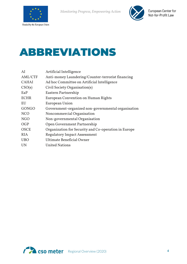



### ABBREVIATIONS

<span id="page-3-0"></span>

| AI           | Artificial Intelligence                              |
|--------------|------------------------------------------------------|
| AML/CTF      | Anti-money Laundering/Counter-terrorist financing    |
| <b>CAHAI</b> | Ad hoc Committee on Artificial Intelligence          |
| CSO(s)       | Civil Society Organisation(s)                        |
| EaP          | Eastern Partnership                                  |
| <b>ECHR</b>  | European Convention on Human Rights                  |
| EU           | European Union                                       |
| <b>GONGO</b> | Government-organized non-governmental organisation   |
| <b>NCO</b>   | Noncommercial Organisation                           |
| <b>NGO</b>   | Non-governmental Organisation                        |
| OGP          | Open Government Partnership                          |
| <b>OSCE</b>  | Organization for Security and Co-operation in Europe |
| <b>RIA</b>   | <b>Regulatory Impact Assessment</b>                  |
| <b>UBO</b>   | Ultimate Beneficial Owner                            |
| <b>UN</b>    | <b>United Nations</b>                                |
|              |                                                      |

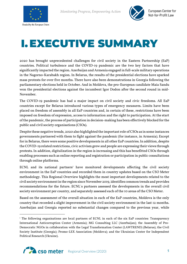



## I.EXECUTIVE SUMMARY

2020 has brought unprecedented challenges for civil society in the Eastern Partnership (EaP) countries. Political turbulence and the COVID-19 pandemic are the two key factors that have significantly impacted the region. Azerbaijan and Armenia engaged in full-scale military operations in the Nagorno-Karabakh region. In Belarus, the results of the presidential elections have sparked mass protests for over five months. There have also been demonstrations in Georgia following the parliamentary elections held in October. And in Moldova, the pro-European candidate Maia Sandu won the presidential elections against the incumbent Igor Dodon after the second round in mid-November.

The COVID-19 pandemic has had a major impact on civil society and civic freedoms. All EaP countries except for Belarus introduced various types of emergency measures. Limits have been placed on freedom of assembly in all EaP countries and, in certain of these, restrictions have been imposed on freedom of expression, access to information and the right to participation. At the start of the pandemic, the process of participation in decision-making has been effectively blocked for the public and civil society organisations (CSOs).

Despite these negative trends, 2020 also highlighted the important role of CSOs as in some instances governments partnered with them to fight against the pandemic (for instance, in Armenia). Except for in Belarus, there were some positive developments in all other EaP countries.In addition, despite the COVID-19 related restrictions, civic activism grew and people are expressing their views through protests. In addition, digitalization in the region is increasing and this has benefitted CSOs through enabling processes such as online reporting and registration or participation in public consultations through online platforms.

 $ECNL$  and its national partners<sup>1</sup> have monitored developments affecting the civil society environment in the EaP countries and recorded them in country updates based on the CSO Meter methodology. This Regional Overview highlights the most important developments related to the civil society environment in the region since November 2019, identifies common trends and provides recommendations for the future. ECNL`s partners assessed the developments in the overall civil society environment per country, and separately assessed each of the 10 areas of the CSO Meter.

Based on the assessment of the overall situation in each of the EaP countries, Moldova is the only country that recorded a slight improvement in the civil society environment in the last 12 months. Azerbaijan and Georgia reported no substantial changes compared to the previous year, while

<span id="page-4-0"></span><sup>&</sup>lt;sup>1</sup> The following organisations are local partners of ECNL in each of the six EaP countries: Transparency International Anticorruption Center (Armenia); MG Consulting LLC (Azerbaijan); the Assembly of Pro-Democratic NGOs in collaboration with the Legal Transformation Center (LAWTREND) (Belarus); the Civil Society Institute (Georgia); Promo-LEX Association (Moldova); and the Ukrainian Center for Independent Political Research (Ukraine).

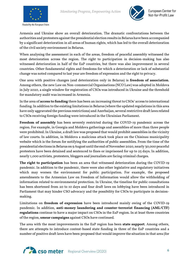



Armenia and Ukraine show an overall deterioration. The dramatic confrontations between the authorities and protesters against the presidential election results in Belarus have been accompanied by a significant deterioration in all areas of human rights, which has led to the overall deterioration of the civil society environment in Belarus.

When analysing the assessment in each of the areas, freedom of peaceful assembly witnessed the most deterioration across the region. The right to participation in decision-making has also witnessed deterioration in half of the EaP countries, but there was also improvement in several countries. Other fundamental rights and freedoms for which a deterioration or lack of substantial change was noted compared to last year are freedom of expression and the right to privacy.

One area with positive changes (and deterioration only in Belarus) is **freedom of association**. Among others, the new Law on Non-commercial Organisations (NCO Law) was adopted in Moldova in July 2020, a single window for registration of CSOs was introduced in Ukraine and the threshold for mandatory audit was increased in Armenia.

In the area of **access to funding** there has been an increasing threat to CSOs' access to international funding. In addition to the existing limitations in Belarus (where the updated regulations in this area have only aggravated the previous restrictions) and Azerbaijan, several restrictive draft laws related to CSOs receiving foreign funding were introduced in the Ukrainian Parliament.

**Freedom of assembly** has been severely restricted during the COVID-19 pandemic across the region. For example, in Georgia and Moldova gatherings and assemblies of more than three people were prohibited. In Ukraine, a draft law was proposed that would prohibit assemblies in the vicinity of law courts. In addition, in Moldova a malicious attack took place on the Chisinau municipality website which is the forum for notifying the authorities of public assemblies. From the time of the presidential elections in Belarus on 9 August until the end of November 2020, nearly 30,000 peaceful protesters have been detained and sentenced to fines or imprisoned for up to 25 days. In addition, nearly 1,000 activists, protesters, bloggers and journalists are facing criminal charges.

**The right to participation** has been an area that witnessed deterioration during the COVID-19 pandemic. In addition to the pandemic, there were also other legislative and regulatory initiatives which may worsen the environment for public participation. For example, the proposed amendments to the Armenian Law on Freedom of Information would allow the withholding of information related to environmental protection. In Ukraine, the timeline for public consultations has been shortened from 20 to 10 days and four draft laws on lobbying have been introduced in Parliament that may hinder CSO advocacy and the possibility for CSOs to participate in decisionmaking.

Limitations on **freedom of expression** have been introduced mainly owing of the COVID-19 pandemic. In addition, **anti-money laundering and counter-terrorist financing (AML/CTF) regulations** continue to have a major impact on CSOs in the EaP region. In at least three countries of the region, **smear campaigns** against CSOs have continued.

The area with the most improvements in the EaP region has been **state support**. Among others, there are attempts to introduce contest-based state funding in three of the EaP countries and a number of positive draft laws have been proposed that would improve the situation in that area (for

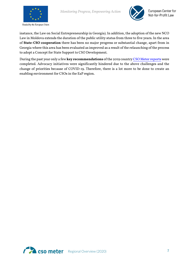



instance, the Law on Social Entrepreneurship in Georgia). In addition, the adoption of the new NCO Law in Moldova extends the duration of the public utility status from three to five years. In the area of **State-CSO cooperation** there has been no major progress or substantial change, apart from in Georgia where this area has been evaluated as improved as a result of the relaunching of the process to adopt a Concept for State Support to CSO Development.

During the past year only a few **key recommendations** of the 2019 countr[y CSO Meter reports](https://csometer.info/documents/) were completed. Advocacy initiatives were significantly hindered due to the above challenges and the change of priorities because of COVID-19. Therefore, there is a lot more to be done to create an enabling environment for CSOs in the EaP region.

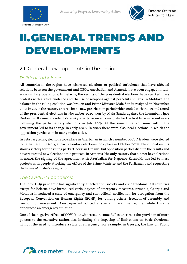



### <span id="page-7-0"></span>II.GENERAL TRENDS AND DEVELOPMENTS

#### 2.1. General developments in the region

#### *Political turbulence*

All countries in the region have witnessed elections or political turbulence that have affected relations between the government and CSOs. Azerbaijan and Armenia have been engaged in fullscale military operations. In Belarus, the results of the presidential elections have sparked mass protests with arrests, violence and the use of weapons against peaceful civilians. In Moldova, the balance in the ruling coalition was broken and Prime Minister Maia Sandu resigned in November 2019. In 2020,the country entered into a new pre-election period which ended with the second round of the presidential elections in November 2020 won by Maia Sandu against the incumbent Igor Dodon. In Ukraine, President Zelensky's party received a majority for the first time in recent years following the parliamentary elections in July 2019. At the same time, collisions within the government led to its change in early 2020. In 2020 there were also local elections in which the opposition parties won in many major cities.

In February 2020, elections took place in Azerbaijan in which a number of CSO leaders were elected to parliament. In Georgia, parliamentary elections took place in October 2020. The official results show a victory for the ruling party "Georgian Dream", but opposition parties dispute the results and have requested new elections amid protests.In Armenia (the only country that did not have elections in 2020), the signing of the agreement with Azerbaijan for Nagorno-Karabakh has led to mass protests with people attacking the offices of the Prime Minister and the Parliament and requesting the Prime Minister's resignation.

#### *The COVID-19 pandemic*

The COVID-19 pandemic has significantly affected civil society and civic freedoms. All countries except for Belarus have introduced various types of emergency measures. Armenia, Georgia and Moldova introduced a state of emergency and sent official notification for derogation from the European Convention on Human Rights (ECHR) for, among others, freedom of assembly and freedom of movement. Azerbaijan introduced a special quarantine regime, while Ukraine announced an emergency situation.

One of the negative effects of COVID-19 witnessed in some EaP countries is the provision of more powers to the executive authorities, including the imposing of limitations on basic freedoms, without the need to introduce a state of emergency. For example, in Georgia, the Law on Public

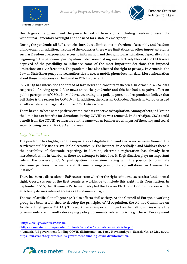



Health gives the government the power to restrict basic rights including freedom of assembly without parliamentary oversight and the need for a state of emergency.<sup>[2](#page-8-0)</sup>

During the pandemic, all EaP countries introduced limitations on freedom of assembly and freedom of movement. In addition, in some of the countries there were limitations on other important rights such as freedom of expression, access to information and the right to participation. Especially at the beginning of the pandemic, participation in decision-making was effectively blocked and CSOs were deprived of the possibility to influence some of the most important decisions that imposed limitations on civic freedoms. The pandemic has also affected the right to privacy. In Armenia, the Law on State Emergency allowed authorities to access mobile phone location data. More information about these limitations can be found in ECNL's briefer. [3](#page-8-1)

COVID-19 has intensified the spread of fake news and conspiracy theories. In Armenia, a CSO was suspected of having spread fake news about the pandemic<sup>[4](#page-8-2)</sup> and this has had a negative effect on public perception of CSOs. In Moldova, according to a poll, 37 percent of respondents believe that Bill Gates is the reason for COVID-19. In addition, the Russian Orthodox Church in Moldova issued an official statement against a future COVID-19 vaccine.

There have also been some positive examples that can serve as inspiration. Among others, in Ukraine the limit for tax benefits for donations during COVID-19 was removed. In Azerbaijan, CSOs could benefit from the COVID-19 measures in the same way as businesses with part of the salary and social security being covered for CSO employees.

#### *Digitalization*

The pandemic has highlighted the importance of digitalization and electronic services. Some of the services that CSOs use are available electronically. For instance, in Azerbaijan and Moldova there is the possibility of electronic reporting. In Ukraine, electronic registration has already been introduced, while in Azerbaijan there are attempts to introduce it. Digitalization plays an important role in the process of CSOs' participation in decision-making with the possibility to initiate electronic petitions in Armenia and Ukraine, or engage in public consultations (in Armenia, for instance).

There has been a discussion in EaP countries on whether the right to internet access is a fundamental right. Georgia is one of the first countries worldwide to include this right in its Constitution. In September 2020, the Ukrainian Parliament adopted the Law on Electronic Communication which effectively defines internet access as a fundamental right.

The use of artificial intelligence (AI) also affects civil society. At the Council of Europe, a working group has been established to develop the principles of AI regulation, the Ad hoc Committee on Artificial Intelligence (CAHAI). This work has an important impact on the EaP countries where the governments are currently developing policy documents related to AI (e.g., the AI Development

<span id="page-8-2"></span><span id="page-8-1"></span><sup>4</sup> Armenia: US government funding COVID disinformation, Tatev Hovhannisyan, EurasiaNet, 28 May 2020, [https://eurasianet.org/armenia-us-government-funding-covid-disinformation.](https://eurasianet.org/armenia-us-government-funding-covid-disinformation)



<span id="page-8-0"></span><sup>2</sup> [https://civil.ge/archives/352590.](https://civil.ge/archives/352590)

<sup>3</sup> [https://csometer.info/wp-content/uploads/2020/04/cso-meter-covid-briefer.pdf.](https://csometer.info/wp-content/uploads/2020/04/cso-meter-covid-briefer.pdf)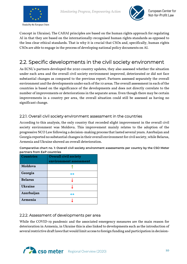



Concept in Ukraine). The CAHAI principles are based on the human rights approach for regulating AI in that they are based on the internationally-recognised human rights standards as opposed to the less clear ethical standards. That is why it is crucial that CSOs and, specifically, human rights CSOs are able to engage in the process of developing national policy documents on AI.

#### 2.2. Specific developments in the civil society environment

As ECNL's partners developed the 2020 country updates, they also assessed whether the situation under each area and the overall civil society environment improved, deteriorated or did not face substantial changes as compared to the previous report. Partners assessed separately the overall environment and the developments under each of the 10 areas. The overall assessment in each of the countries is based on the significance of the developments and does not directly correlate to the number of improvements or deteriorations in the separate areas. Even though there may be certain improvements in a country per area, the overall situation could still be assessed as having no significant change.

#### 2.2.1. Overall civil society environment assessment in the countries

According to this analysis, the only country that recorded slight improvement in the overall civil society environment was Moldova. This improvement mainly relates to the adoption of the progressive NCO Law following a decision-making process that lasted several years. Azerbaijan and Georgia reported no substantial changes in their overall environment for civil society, while Belarus, Armenia and Ukraine showed an overall deterioration.

| <b>Countries</b> | <b>Overall civil society</b> |
|------------------|------------------------------|
|                  | environment assessment       |
| Moldova          |                              |
| Georgia          | $\leftrightarrow$            |
| <b>Belarus</b>   |                              |
| <b>Ukraine</b>   |                              |
| Azerbaijan       | ↔                            |
| <b>Armenia</b>   |                              |

**Comparative chart no. 1: Overall civil society environment assessments per country by the CSO Meter partners from EaP countries**

#### 2.2.2. Assessment of developments per area

While the COVID-19 pandemic and the associated emergency measures are the main reason for deterioration in Armenia, in Ukraine this is also linked to developments such as the introduction of several restrictive draft laws that would limit access to foreign funding and participation in decision-

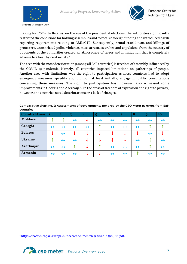



making for CSOs. In Belarus, on the eve of the presidential elections, the authorities significantly restricted the conditions for holding assemblies and to receive foreign funding and introduced harsh reporting requirements relating to AML/CTF. Subsequently, brutal crackdowns and killings of protesters, unrestricted police violence, mass arrests, searches and expulsions from the country of opponents of the authorities created an atmosphere of terror and intimidation that is completely adverse to a healthy civil society.<sup>[5](#page-10-0)</sup>

The area with the most deterioration (among all EaP countries) is freedom of assembly influenced by the COVID-19 pandemic. Namely, all countries-imposed limitations on gatherings of people. Another area with limitations was the right to participation as most countries had to adopt emergency measures speedily and did not, at least initially, engage in public consultations concerning these measures. The right to participation has, however, also witnessed some improvements in Georgia and Azerbaijan. In the areas of freedom of expression and right to privacy, however, the countries noted deteriorations or a lack of changes.

**Country/Areas 1 2 3 4 5 6 7 8 9 10 Moldova ↑ ↑ ↔ ↓ ↔ ↔ ↔ ↔ ↔ ↔ Georgia ↔ ↔ ↔ ↔ ↑ ↔ ↔ ↔ ↑ ↑ Belarus ↓ ↔ ↓ ↓ ↓ ↓ ↓ ↓ ↔ ↓ Ukraine ↑ ↔ ↔ ↓ ↓ ↓ ↓ ↔ ↑ ↔ Azerbaijan ↔ ↔ ↑ ↓ ↑ ↔ ↔ ↔ ↑ ↔ Armenia ↔ ↔ ↔ ↓ ↓ ↔ ↔ ↑ ↔ ↔**

**Comparative chart no. 2: Assessments of developments per area by the CSO Meter partners from EaP countries**

<span id="page-10-0"></span><sup>5</sup> [https://www.europarl.europa.eu/doceo/document/B-9-2020-0390\\_EN.pdf.](https://www.europarl.europa.eu/doceo/document/B-9-2020-0390_EN.pdf)

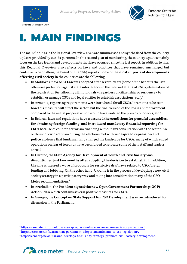

*Monitoring Progress, Empowering Action*



## <span id="page-11-0"></span>I. MAIN FINDINGS

The main findings in the Regional Overview 2020are summarised and synthesised from the country updates provided by our six partners. In this second year of monitoring, the country updates mainly focus on the key trends and developments that have occurred since the last report. In addition to this, this Regional Overview also reflects on laws and practices that have remained unchanged but continue to be challenging based on the 2019 reports. Some of the **most important developments affecting civil society** in the countries are the following:

- In Moldova a **new NCO Law** was adopted after several years (some of the benefits the law offers are protection against state interference in the internal affairs of CSOs, elimination of the registration fee, allowing all individuals - regardless of citizenship or residence - to establish or manage CSOs and legal entities to establish associations, etc.). [6](#page-11-1)
- In Armenia, **reporting** requirements were introduced for all CSOs. It remains to be seen how this measure will affect the sector, but the final version of the law is an improvement compared to the initial proposal which would have violated the privacy of donors, etc.[7](#page-11-2)
- In Belarus, laws and regulations have **worsened the conditions for peaceful assemblies, for obtaining foreign funding, and introduced mandatory financial reporting for CSOs** because of counter-terrorism financing without any consultation with the sector. An outburst of civic activism during the elections met with **widespread repression and police violence** that fundamentally changed the landscape for CSOs, many of which ended operations on fear of terror or have been forced to relocate some of their staff and leaders abroad.
- In Ukraine, the **State Agency for Development of Youth and Civil Society was discontinued just two months after adopting the decision to establish it**. In addition, Ukraine witnessed a wave of proposals for restrictive draft laws related to CSO foreign funding and lobbying. On the other hand, Ukraine is in the process of developing a new civil society strategy in a participatory way and taking into consideration many of the CSO Meter recommendations. [8](#page-11-3)
- In Azerbaijan, the President **signed the new Open Government Partnership (OGP) Action Plan** which contains several positive measures for CSOs.
- In Georgia, the **Concept on State Support for CSO Development was re-introduced** for discussion in the Parliament.

<span id="page-11-3"></span>[8https://ecnl.org/news/ukraine-develops-2021-2025-strategy-promote-civil-society-development.](https://ecnl.org/news/ukraine-develops-2021-2025-strategy-promote-civil-society-development)

<span id="page-11-1"></span><sup>6</sup> [https://csometer.info/moldova-new-progressive-law-on-non-commercial-organisations/.](https://csometer.info/moldova-new-progressive-law-on-non-commercial-organisations/)

<span id="page-11-2"></span><sup>7</sup> [https://csometer.info/armenian-parliament-adopts-amendments-to-cso-legislation/.](https://csometer.info/armenian-parliament-adopts-amendments-to-cso-legislation/)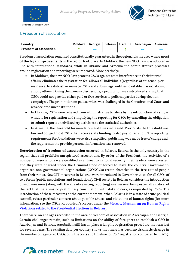



#### 1. Freedom of association

| Country                       |  |  | ' Moldova   Georgia   Belarus   Ukraine   Azerbaijan   Armenia |  |
|-------------------------------|--|--|----------------------------------------------------------------|--|
| <b>Freedom of association</b> |  |  |                                                                |  |

Freedom of association remained constitutionally guaranteed in the region. It is the area where **most of the legal improvements** in the region took place. In Moldova, the new NCO Law was adopted in line with international standards, while in Ukraine and Armenia the administrative processes around registration and reporting were improved. More precisely:

- In Moldova, the new NCO Law protects CSOs against state interference in their internal affairs, eliminates the registration fee, allows all individuals (regardless of citizenship or residence) to establish or manage CSOs and allows legal entities to establish associations, among others. During the plenary discussions, a prohibition was introduced stating that CSOs could not provide either paid or free services to political parties during election campaigns. The prohibition on paid services was challenged in the Constitutional Court and was declared unconstitutional.
- In Ukraine, CSOs were relieved from administrative burdens by the introduction of a single window for registration and simplifying the reporting for CSOs by cancelling the obligation to submit reports on civil society activities to the statistical authorities.
- In Armenia, the threshold for mandatory audit was increased. Previously the threshold was low and obliged most CSOs that receive state funding to also pay for an audit. The reporting requirements for foundations were also simplified, publishing was made free of charge and the requirement to provide personal information was removed.

**Deterioration of freedom of association** occurred in Belarus. Belarus is the only country in the region that still prohibits unregistered associations. By order of the President, the activities of a number of associations were qualified as a threat to national security, their leaders were arrested, and they were charged under the Criminal Code or forced to leave the country. Governmentorganised non-governmental organisations (GONGOs) create obstacles to the free exit of people from their ranks. NewCTF measures in Belarus were introduced in November 2020 for all CSOs of two forms (public associations and foundations). Civil society in Belarus considers the introduction of such measures (along with the already existing reporting) as excessive, being especially critical of the fact that there was no preliminary consultation with stakeholders, as requested by CSOs. The introduction of these measures at the current moment, when Belarus is in a state of acute political turmoil, raises particular concern about possible abuses and violations of human rights (for more information, see the OSCE Rapporteur's Report under the [Moscow Mechanism on Human Rights](https://www.osce.org/odihr/469539?fbclid=IwAR1Q61NRB1CqxBAp47pepYkmmoT38NjoZUlsbrnvX9jhgR5mN1osbO8ERYQ)  [Violations related to the Presidential Elections in Belarus\)](https://www.osce.org/odihr/469539?fbclid=IwAR1Q61NRB1CqxBAp47pepYkmmoT38NjoZUlsbrnvX9jhgR5mN1osbO8ERYQ).

There were **no changes** recorded in the area of freedom of association in Azerbaijan and Georgia. Certain challenges remain, such as limitations on the ability of foreigners to establish a CSO in Azerbaijan and Belarus. Azerbaijan still has in place a lengthy registration procedure that can last for several years. The existing data per country shows that there has been **no dramatic change** in the number of registered CSOs, or in the costs and timeline for CSO registration compared to in 2019.

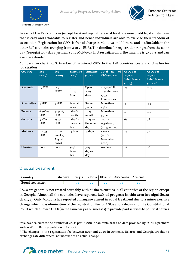



In each of the EaP countries (except for Azerbaijan) there is at least one non-profit legal entity form that is easy and affordable to register and hence individuals are able to exercise their freedom of association. Registration for CSOs is free of charge in Moldova and Ukraine and is affordable in the other EaP countries (ranging from 4 to 25 EUR). The timeline for registration ranges from the same day (Georgia) to 15 days (Armenia and Moldova). In Azerbaijan only, the timeline is 30 days and can even be extended.

| Comparative chart no. 3: Number of registered CSOs in the EaP countries, costs and timeline for |  |  |  |  |
|-------------------------------------------------------------------------------------------------|--|--|--|--|
| registration                                                                                    |  |  |  |  |

| Country        | Fee        | Fee               | <b>Timeline</b>  | <b>Timeline</b>  | <b>Total</b><br>no. of   | <b>CSOs</b> per | <b>CSOs</b> per |
|----------------|------------|-------------------|------------------|------------------|--------------------------|-----------------|-----------------|
|                | (2019)     | (2020)            | (2019)           | (2020)           | <b>CSOs</b> (2020)       | 10,000          | 10,000          |
|                |            |                   |                  |                  |                          | inhabitants     | inhabitants     |
|                |            |                   |                  |                  |                          | (2019)          | $(2020)^9$      |
| Armenia        | 19 EUR     | 17.5              | Up to            | Up to            | 4,892 public             | 19              | 20.7            |
|                |            | EUR <sup>10</sup> | IO/I5            | IO/I5            | organisations,           |                 |                 |
|                |            |                   | days             | days             | 1,237                    |                 |                 |
|                |            |                   |                  |                  | foundations              |                 |                 |
| Azerbaijan     | $5$ EUR    | $5$ EUR           | Several          | Several          | More than                | $\overline{4}$  | 4.5             |
|                |            |                   | years            | years            | 4,500                    |                 |                 |
| <b>Belarus</b> | 6/56/113   | 4/45/89           | $I$ day/ $I$     | I day/I          | More than                | 3               | 3.5             |
|                | <b>EUR</b> | <b>EUR</b>        | month            | month            | 3,300                    |                 |                 |
| Georgia        | 30/60      | 25/51             | I day/or         | I day/or         | 29,072                   | 64              | 78              |
|                | <b>EUR</b> | <b>EUR</b>        | the same         | the same         | registered,              |                 |                 |
|                |            |                   | day              | day              | $(1,049 \text{ active})$ |                 |                 |
| Moldova        | IO/I35     | No fee            | 15 days          | 15 days          | 10,942                   | 27              | 3I              |
|                | <b>EUR</b> | (as of 27)        |                  |                  | (as of 2)                |                 |                 |
|                |            | August            |                  |                  | November                 |                 |                 |
|                |            | 2020)             |                  |                  | 2020)                    |                 |                 |
| <b>Ukraine</b> | Free       | Free              | $3 - 15$         | $3 - 15$         | II0,000                  | 22              | 26              |
|                |            |                   | $\frac{days}{I}$ | $\frac{days}{I}$ |                          |                 |                 |
|                |            |                   | day              | day              |                          |                 |                 |

#### 2. Equal treatment

| Country                |  |  | Moldova   Georgia   Belarus   Ukraine   Azerbaijan   Armenia |  |
|------------------------|--|--|--------------------------------------------------------------|--|
| <b>Equal treatment</b> |  |  |                                                              |  |

CSOs are generally not treated equitably with business entities in all countries of the region except in Georgia. Almost all the countries have reported **lack of progress in this area (no significant change).** Only Moldova has reported an **improvement** in equal treatment due to a minor positive change which was elimination of the registration fee for CSOs and a decision of the Constitutional Court which allowed CSOs (in the same way as businesses) to provide paid services to political parties

<span id="page-13-1"></span><sup>&</sup>lt;sup>10</sup> The changes in the registration fee between 2019 and 2020 in Armenia, Belarus and Georgia are due to exchange rate differences, not because of an actual change.



<span id="page-13-0"></span><sup>9</sup>We have calculated the number of CSOs per 10,000 inhabitants based on data provided by ECNL's partners and on World Bank population information.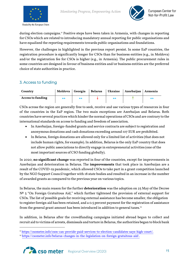



during election campaigns.<sup>[11](#page-14-0)</sup> Positive steps have been taken in Armenia, with changes in reporting for CSOs which are related to introducing mandatory annual reporting for public organisations and have equalized the reporting requirements towards public organisations and foundations.

However, the challenges in highlighted in the previous report persist. In some EaP countries, the registration procedure is significantly longer for CSOs than for business entities (e.g., in Moldova) and/or the registration fee for CSOs is higher (e.g., in Armenia). The public procurement rules in some countries are designed in favour of business entities and/or business entities are the preferred choice of state authorities in practice.

#### 3. Access to funding

| Country                  |                   |  | Moldova   Georgia   Belarus   Ukraine   Azerbaijan   Armenia |  |
|--------------------------|-------------------|--|--------------------------------------------------------------|--|
| <b>Access to funding</b> | $\leftrightarrow$ |  |                                                              |  |

CSOs across the region are generally free to seek, receive and use various types of resources in four of the countries in the EaP region. The two main exceptions are Azerbaijan and Belarus. Both countries have several practices which hinder the normal operations of CSOs and are contrary to the international standards on access to funding and freedom of association.

- In Azerbaijan, foreign-funded grants and service contracts are subject to registration and anonymous donations and cash donations exceeding around 107 EUR are prohibited.
- In Belarus, foreign donations are allowed only for a limited list of activities (that does not include human rights, for example). In addition, Belarus is the only EaP country that does not allow public associations to directly engage in entrepreneurial activities (one of the most important sources of CSO funding globally).

In 2020, **no significant change** was reported in four of the countries, except for improvements in Azerbaijan and deterioration in Belarus. The **improvements** that took place in Azerbaijan are a result of the COVID-19 pandemic, which allowed CSOs to take part in a grant competition launched by the NGO Support Council together with 18 state bodies and resulted in an increase in the number of awarded grants as compared to the previous year on various topics.

In Belarus, the main reason for the further **deterioration** was the adoption on 25 May of the Decree  $N<sup>2</sup>$  3 "On Foreign Gratuitous Aid," which further tightened the provision of external support for CSOs. The list of possible goals for receiving external assistance has become smaller, the obligation to register foreign aid has been retained, and a 0.5 percent payment for the registration of assistance from the general grant amount has been introduced in addition to general taxes.<sup>[12](#page-14-1)</sup>

In addition, in Belarus after the crowdfunding campaigns initiated abroad began to collect and recruit aid to victims of arrests, dismissals and torture in Belarus, the authorities began to block bank

<span id="page-14-1"></span><span id="page-14-0"></span><sup>&</sup>lt;sup>12</sup> [https://csometer.info/belarus-changes-in-the-legislation-on-foreign-gratuitous-aid/.](https://csometer.info/belarus-changes-in-the-legislation-on-foreign-gratuitous-aid/)



<sup>11</sup> [https://csometer.info/csos-can-provide-paid-services-to-election-candidates-says-high-court/.](https://csometer.info/csos-can-provide-paid-services-to-election-candidates-says-high-court/)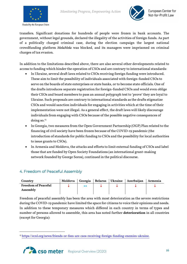



transfers. Significant donations for hundreds of people were frozen in bank accounts. The government, without legal grounds, declared the illegality of the activities of foreign funds. As part of a politically charged criminal case, during the election campaign the largest national crowdfunding platform *MolaMola* was blocked, and its managers were imprisoned on criminal charges of tax evasion.

In addition to the limitations described above, there are also several other developments related to access to funding which hinder the operation of CSOs and are contrary to international standards:

- In Ukraine, several draft laws related to CSOs receiving foreign funding were introduced. These aim to limit the possibility of individuals associated with foreign-funded CSOs to serve on the boards of state enterprises or state banks, or to become state officials. One of the drafts introduces separate registration for foreign-funded CSOs and would even oblige their CEOs and board members to pass an annual polygraph test to 'prove' they are loyal to Ukraine. Such proposals are contrary to international standards as the drafts stigmatize CSOs and would sanction individuals for engaging in activities which at the time of their implementation were not illegal. As a general effect, the draft laws will likely discourage individuals from engaging with CSOs because of the possible negative consequences of doing so.<sup>[13](#page-15-0)</sup>
- In Georgia, two measures from the Open Government Partnership (OGP) Plan related to the financing of civil society have been frozen because of the COVID-19 pandemic (the introduction of standards for public funding to CSOs and the possibility for local authorities to issue grants to CSOs).
- In Armenia and Moldova, the attacks and efforts to limit external funding of CSOs and label those that are funded by Open Society Foundations (an international grant-making network founded by George Soros), continued in the political discourse.

#### 4. Freedom of Peaceful Assembly

| Country                    |  |  | Moldova   Georgia   Belarus   Ukraine   Azerbaijan   Armenia |  |
|----------------------------|--|--|--------------------------------------------------------------|--|
| <b>Freedom of Peaceful</b> |  |  |                                                              |  |
| Assembly                   |  |  |                                                              |  |

Freedom of peaceful assembly has been the area with most deterioration as the severe restrictions during the COVID-19 pandemic have limited the space for citizens to voice their opinions and needs. In addition to these temporary measures which differed in each country in terms of types and number of persons allowed to assemble, this area has noted further **deterioration** in all countries (except for Georgia):

<span id="page-15-0"></span><sup>13</sup> [https://ecnl.org/news/friends-or-foes-are-csos-receiving-foreign-funding-enemies-ukraine.](https://ecnl.org/news/friends-or-foes-are-csos-receiving-foreign-funding-enemies-ukraine)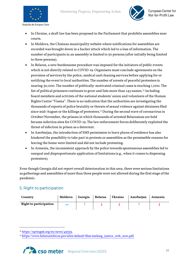



- In Ukraine, a draft law has been proposed in the Parliament that prohibits assemblies near courts.
- In Moldova, the Chisinau municipality website where notifications for assemblies are recorded was brought down in a hacker attack which led to a loss of information. The number of participants in an assembly is limited to 50 persons (after initially being limited to three persons).
- In Belarus, a new burdensome procedure was imposed for the initiators of public events which is not directly related to COVID-19. Organisers must conclude agreements on the provision of services by the police, medical and cleaning services before applying for or notifying the event to local authorities. The number of arrests of peaceful protesters is nearing 30,000. The number of politically-motivated criminal cases is reaching 1,000. The list of political prisoners continues to grow and lists more than [14](#page-16-0)5 names,<sup>14</sup> including board members and activists of the national students' union and volunteers of the Human Rights Centre "Viasna". There is no indication that the authorities are investigating the thousands of reports of police brutality or threats of sexual violence against detainees filed since mid-August or the killings of protesters. [15](#page-16-1) During the second wave of coronavirus in October/November, the prisons in which thousands of arrested Belarusians are held became infection sites for COVID-19. The law enforcement forces deliberately exploited the threat of infection in prison as a deterrent.
- In Azerbaijan, the introduction of SMS permission to leave places of residence has also hindered the possibility to take part in protests or assemblies as the permissible reasons for leaving the home were limited and did not include protesting.
- In Armenia, the inconsistent approach by the police towards spontaneous assemblies led to unequal and disproportionate application of limitations (e.g., when it comes to dispersing protesters).

Even though Georgia did not report overall deterioration in this area, there were serious limitations as gatherings and assemblies of more than three people were not allowed during the first stage of the pandemic.

#### 5. Right to participation

| Country                       | Moldova | Georgia Belarus | Ukraine | Azerbaijan | Armenia |
|-------------------------------|---------|-----------------|---------|------------|---------|
| <b>Right to participation</b> |         |                 |         |            |         |

<span id="page-16-1"></span><sup>&</sup>lt;sup>15</sup> [https://www.belarusinfocus.pro/sites/default/files/seeking\\_justice\\_web\\_new.pdf.](https://www.belarusinfocus.pro/sites/default/files/seeking_justice_web_new.pdf)



<span id="page-16-0"></span><sup>14</sup> [https://spring96.org/en/news/49539.](https://spring96.org/en/news/49539)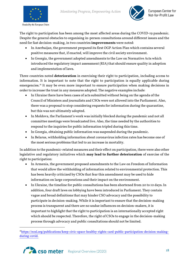



The right to participation has been among the most affected areas during the COVID-19 pandemic. Despite the general obstacles to organising in-person consultations around different issues and the need for fast decision-making, in two countries **improvements** were noted:

- In Azerbaijan, the government prepared its first OGP Action Plan which contains several positive measures that, if enacted, will improve the civil society environment.
- In Georgia, the government adopted amendments to the Law on Normative Acts which introduced the regulatory impact assessment (RIA) that should ensure quality in adoption and implementation of laws.

Three countries noted **deterioration** in exercising their right to participation, including access to information. It is important to note that the right to participation is equally applicable during emergencies. [16](#page-17-0) It may be even more important to ensure participation when making decisions in order to increase the trust in any measures adopted. The negative examples include:

- In Ukraine there have been cases of acts submitted without being on the agenda of the Council of Ministers and journalists and CSOs were not allowed into the Parliament. Also, there was a proposal to stop considering requests for information during the quarantine, but this was not ultimately adopted.
- In Moldova, the Parliament's work was initially blocked during the pandemic and not all committee meetings were broadcasted live. Also, the time needed by the authorities to respond to the inquiries for public information tripled during this time.
- In Georgia, obtaining public information was suspended during the pandemic.
- In Belarus, withholding information about coronavirus infection rates has become one of the most serious problems that led to an increase in mortality.

In addition to the pandemic-related measures and their effect on participation, there were also other legislative and regulatory initiatives which **may lead to further deterioration** of exercise of the right to participation:

- In Armenia, the government proposed amendments to the Law on Freedom of Information that would allow the withholding of information related to environmental protection. This has been heavily criticized by CSOs that fear this amendment may be used to hide information on large corporations and their impact on the environment.
- In Ukraine, the timeline for public consultations has been shortened from 20 to 10 days. In addition, four draft laws on lobbying have been introduced in Parliament. They contain vague and broad definitions that may hinder CSO advocacy and the possibility to participate in decision-making. While it is important to ensure that the decision-making process is transparent and there are no undue influences on decision-makers, it is important to highlight that the right to participation is an internationally accepted right which should be respected. Therefore, the right of CSOs to engage in the decision-making process through advocacy and public consultations should not be limited.

<span id="page-17-0"></span><sup>&</sup>lt;sup>16</sup>https://ecnl.org/publications/keep-civic-space-healthy-rights-card-public-participation-decision-making[during-covid.](https://ecnl.org/publications/keep-civic-space-healthy-rights-card-public-participation-decision-making-during-covid)

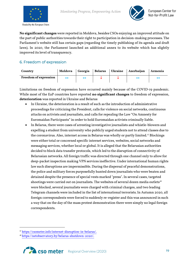



**No significant changes** were reported in Moldova, besides CSOs enjoying an improved attitude on the part of public authorities towards their right to participation in decision-making processes. The Parliament's website still has certain gaps (regarding the timely publishing of its agenda and draft laws). In 2020, the Parliament launched an additional annex to its website which has slightly improved its level of transparency.

#### 6. Freedom of expression

| Country                      |  |  | Moldova Georgia Belarus Ukraine Azerbaijan Armenia |  |
|------------------------------|--|--|----------------------------------------------------|--|
| <b>Freedom of expression</b> |  |  |                                                    |  |

Limitations on freedom of expression have occurred mainly because of the COVID-19 pandemic. While most of the EaP countries have reported **no significant changes** to freedom of expression, **deterioration** was reported in Ukraine and Belarus:

- In Ukraine, the deterioration is a result of such as the introduction of administrative proceedings for criticizing the President, calls for violence on social networks, continuous attacks on activists and journalists, and calls for repealing the Law "On Amnesty for Euromaidan Participants" in order to hold Euromaidan activists criminally liable.
- In Belarus, there were cases of arresting investigative journalists and whistle-blowers and expelling a student from university who publicly urged students not to attend classes due to the coronavirus. Also, internet access in Belarus was wholly or partly limited. [17](#page-18-0) Blockings were either total or concerned specific internet services, websites, social networks and messaging services, whether local or global. It is alleged that the Belarusian authorities decided to block data transfer protocols, which led to the disruption of connectivity of Belarusian networks. All foreign traffic was directed through one channel only to allow for deep-packet inspection making VPN services ineffective. Under international human rights law such disruptions are impermissible. During the dispersal of peaceful demonstrations, the police and military forces purposefully hunted down journalists who were beaten and detained despite the presence of special vests marked "press". In several cases, targeted shootings were carried out on journalists. The websites of several dozen media outlets<sup>[18](#page-18-1)</sup> were blocked, several journalists were charged with criminal charges, and two leading Telegram channels were included in the list of international terrorists. In Autumn 2020, all foreign correspondents were forced to suddenly re-register and this was announced in such a way that on the day of the mass protest demonstration there were simply no legal foreign correspondents.

<span id="page-18-0"></span><sup>17</sup> [https://csometer.info/internet-disruption-in-belarus/.](https://csometer.info/internet-disruption-in-belarus/)

<span id="page-18-1"></span><sup>18</sup> [https://netobservatory.by/belarus-shutdown-2020/.](https://netobservatory.by/belarus-shutdown-2020/)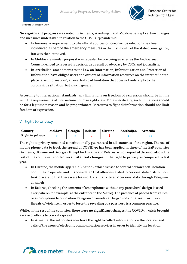



**No significant progress** was noted in Armenia, Azerbaijan and Moldova, except certain changes and measures undertaken in relation to the COVID-19 pandemic:

- In Armenia, a requirement to cite official sources on coronavirus infections has been introduced as part of the emergency measures in the first month of the state of emergency, but was then removed.
- In Moldova, a similar proposal was repealed before being enacted as the Audiovisual Council decided to reverse its decision as a result of advocacy by CSOs and journalists.
- In Azerbaijan, amendments to the Law on Information, Informatization and Protection of Information have obliged users and owners of information resources on the internet "not to place false information", an overly-broad limitation that does not only apply to the coronavirus situation, but also in general.

According to international standards, any limitations on freedom of expression should be in line with the requirements of international human rights law. More specifically, such limitations should be for a legitimate reason and be proportionate. Measures to fight disinformation should not limit freedom of expression.

#### 7. Right to privacy

| Country          | Moldova | Georgia   Belarus | Ukraine | Azerbaijan Armenia |  |
|------------------|---------|-------------------|---------|--------------------|--|
| Right to privacy |         |                   |         |                    |  |

The right to privacy remained constitutionally guaranteed in all countries of the region. The use of mobile phone data to track the spread of COVID-19 has been applied in three of the EaP countries (Armenia, Ukraine and Georgia). Except for Ukraine and Belarus, which reported **deterioration**, the rest of the countries reported **no substantial changes** in the right to privacy as compared to last year.

- In Ukraine, the mobile app "Diia" (Action), which is used to control person's self-isolation continues to operate, and it is considered that offences related to personal data distribution took place, and that there were leaks of Ukrainian citizens' personal data through Telegram channels.
- In Belarus, checking the contents of smartphones without any procedural design is used everywhere (for example, at the entrance to the Metro). The presence of photos from rallies or subscriptions to opposition Telegram channels can be grounds for arrest. Torture or threats of violence in order to force the revealing of a password is a common practice.

While, in the rest of the countries, there were **no significant** changes, the COVID-19 crisis brought a wave of efforts to track its spread:

• In Armenia, the authorities now have the right to collect information on the location and calls of the users of electronic communication services in order to identify the location,

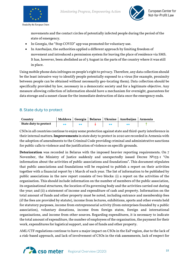



movements and the contact circles of potentially infected people during the period of the state of emergency.

- In Georgia, the "Stop COVID" app was promoted for voluntary use.
- In Azerbaijan, the authorities applied a different approach by limiting freedom of movement and introduced a permission system for leaving the place of residence via SMS. It has, however, been abolished as of 5 August in the parts of the country where it was still in place.

Using mobile phone data infringes on people's right to privacy. Therefore, any data collection should be the least intrusive way to identify people potentially exposed to a virus (for example, proximity between people can be obtained without necessarily geo-locating them). Data collection should be specifically provided by law, necessary in a democratic society and for a legitimate objective. Any measure allowing collection of information should have a mechanism for oversight, guarantees for data storage and a sunset clause for the immediate destruction of data once the emergency ends.

#### 8. State duty to protect

| Country               |  |  | Moldova   Georgia   Belarus   Ukraine   Azerbaijan   Armenia |  |
|-----------------------|--|--|--------------------------------------------------------------|--|
| State duty to protect |  |  |                                                              |  |

CSOs in all countries continue to enjoy some protection against state and third-party interference in their internal matters. **Improvements** in state duty to protect in 2020 are recorded in Armenia with the adoption of amendments to the Criminal Code providing criminal and administrative sanctions for public calls to violence and the justification of violence on specific grounds.

**Deterioration** was recorded in Belarus with the imposed heavier reporting requirements. On 7 November, the Ministry of Justice suddenly and unexpectedly issued Decree №153-1 "On information about the activities of public associations and foundations". This document stipulates that public associations and foundations will be required to publish a report on their activities together with a financial report by 1 March of each year. The list of information to be published by public associations in the new report consists of two blocks: (i) a report on the activities of the organisation. This should include information on the number of members of the public association, its organisational structures, the location of its governing body and the activities carried out during the year; and (ii) a statement of income and expenditure of cash and property. Information on the total amount of funds and other property must be noted, including entrance and membership fees (if the fees are provided by statute), income from lectures, exhibitions, sports and other events held for statutory purposes, income from entrepreneurial activity (from enterprises founded by a public association), voluntary donations, income from foreign states, foreign and international organisations, and income from other sources. Regarding expenditures, it is necessary to indicate the total amount of expenditure, the number of employees of the organisation, the payment for their work, expenditures for logistical support, and use of funds and other property.

AML/CTF regulations continue to have a major impact on CSOs in the EaP region, due to the lack of a risk-based approach, and lack of involvement of CSOs in the risk assessments, lack of respect for

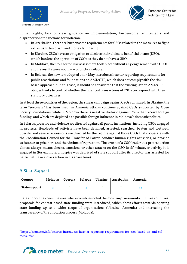



human rights, lack of clear guidance on implementation, burdensome requirements and disproportionate sanctions for violation.

- In Azerbaijan, there are burdensome requirements for CSOs related to the measures to fight extremism, terrorism and money laundering.
- In Ukraine, CSOs have an obligation to disclose their ultimate beneficial owner (UBO), which burdens the operation of CSOs as they do not have a UBO.
- In Moldova, the CSO sector risk assessment took place without any engagement with CSOs and its results were not made publicly available.
- In Belarus, the new law adopted on 13 May introduces heavier reporting requirements for public associations and foundations on AML/CTF, which does not comply with the riskbased approach. [19](#page-21-0) In this case, it should be considered that the existing law on AML/CTF obliges banks to control whether the financial transactions of CSOs correspond with their statutory objectives.

In at least three countries of the region, the smear campaign against CSOs continued. In Ukraine, the term "sorosiata" has been used, in Armenia attacks continue against CSOs supported by Open Society Foundations, while in Moldova there is negative rhetoric against CSOs that receive foreign funding, and which are depicted as a possible foreign influence in Moldova's domestic politics.

In Belarus, pressure and violence are directed against all public institutions, including CSOs engaged in protests. Hundreds of activists have been detained, arrested, searched, beaten and tortured. Specific and severe repressions are directed by the regime against those CSOs that cooperate with the Coordination Council for the Transfer of Power, conduct human rights activities, or provide assistance to prisoners and the victims of repression. The arrest of a CSO leader at a protest action almost always means checks, sanctions or other attacks on the CSO itself, whatever activity it is engaged in (for example, a hospice was deprived of state support after its director was arrested for participating in a mass action in his spare time).

#### 9. State Support

| Country              |  |   | Moldova   Georgia   Belarus   Ukraine   Azerbaijan | Armenia |
|----------------------|--|---|----------------------------------------------------|---------|
| <b>State support</b> |  | ↔ |                                                    |         |

State support has been the area where countries noted the most **improvements**. In three countries, proposals for contest-based state funding were introduced, which show efforts towards opening state funding up to a wider scope of organisations (Ukraine, Armenia) and increasing the transparency of the allocation process (Moldova).

<span id="page-21-0"></span><sup>1</sup>[9https://csometer.info/belarus-introduces-heavier-reporting-requirements-for-csos-based-on-aml-ctf](https://csometer.info/belarus-introduces-heavier-reporting-requirements-for-csos-based-on-aml-ctf-measures/)[measures/.](https://csometer.info/belarus-introduces-heavier-reporting-requirements-for-csos-based-on-aml-ctf-measures/)

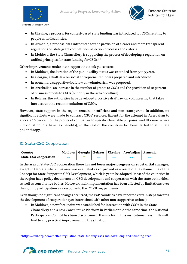



- In Ukraine, a proposal for contest-based state funding was introduced for CSOs relating to people with disabilities.
- In Armenia, a proposal was introduced for the provision of clearer and more transparent regulations on state grant competition, selection processes and criteria.
- In Moldova, the State Chancellery is supporting the process of developing a regulation on unified principles for state funding for CSOs.<sup>[20](#page-22-0)</sup>

Other improvements under state support that took place were:

- In Moldova, the duration of the public utility status was extended from 3 to 5 years.
- In Georgia, a draft-law on social entrepreneurship was prepared and introduced.
- In Armenia, a supportive draft law on volunteerism was proposed.
- In Azerbaijan, an increase in the number of grants to CSOs and the provision of 10 percent of business profits to CSOs (but only in the area of culture).
- In Belarus, the authorities have developed a positive draft law on volunteering that takes into account the recommendations of CSOs.

However, state support in the region remains insufficient and non-transparent. In addition, no significant efforts were made to contract CSOs' services. Except for the attempt in Azerbaijan to allocate 10 per cent of the profits of companies to specific charitable purposes, and Ukraine (where individual donors have tax benefits), in the rest of the countries tax benefits fail to stimulate philanthropy.

#### 10. State-CSO Cooperation

| Country                      |  |  | Moldova   Georgia   Belarus   Ukraine   Azerbaijan   Armenia |  |
|------------------------------|--|--|--------------------------------------------------------------|--|
| <b>State-CSO Cooperation</b> |  |  |                                                              |  |

In the area of State-CSO cooperation there has **not been major progress or substantial changes,** except in Georgia where this area was evaluated as **improved** as a result of the relaunching of the Concept for State Support to CSO Development, which is yet to be adopted. Most of the countries in the region have policy documents on CSO development and cooperation with the state authorities, as well as consultative bodies. However, their implementation has been affected by limitations over the right to participation as a response to the COVID-19 pandemic.

Even though no significant changes occurred, the EaP countries have reported certain steps towards the development of cooperation (yet intertwined with other non-supportive actions):

• In Moldova, a new focal point was established for interaction with CSOs in the State Chancellery and a new Consultative Platform in Parliament. At the same time, the National Participation Council has been discontinued. It is unclear if this institutional re-shuffle will lead to any practical improvement in the situation.

<span id="page-22-0"></span><sup>20</sup> [https://ecnl.org/news/better-regulation-state-funding-csos-moldova-long-and-winding-road.](https://ecnl.org/news/better-regulation-state-funding-csos-moldova-long-and-winding-road)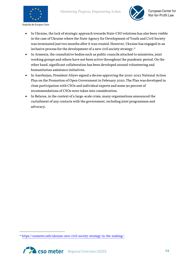



- In Ukraine, the lack of strategic approach towards State-CSO relations has also been visible in the case of Ukraine where the State Agency for Development of Youth and Civil Society was terminated just two months after it was created. However, Ukraine has engaged in an inclusive process for the development of a new civil society strategy.<sup>[21](#page-23-0)</sup>
- In Armenia, the consultative bodies such as public councils attached to ministries, joint working groups and others have not been active throughout the pandemic period. On the other hand, significant collaboration has been developed around volunteering and humanitarian assistance initiatives.
- In Azerbaijan, President Aliyev signed a decree approving the 2020-2022 National Action Plan on the Promotion of Open Government in February 2020. The Plan was developed in close participation with CSOs and individual experts and some 90 percent of recommendations of CSOs were taken into consideration.
- In Belarus, in the context of a large-scale crisis, many organisations announced the curtailment of any contacts with the government, including joint programmes and advocacy.

<span id="page-23-0"></span><sup>21</sup> [https://csometer.info/ukraine-new-civil-society-strategy-in-the-making/.](https://csometer.info/ukraine-new-civil-society-strategy-in-the-making/)

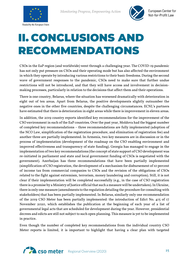



## <span id="page-24-0"></span>II. CONCLUSIONS AND RECOMMENDATIONS

CSOs in the EaP region (and worldwide) went through a challenging year. The COVID-19 pandemic has not only put pressure on CSOs and their operating mode but has also affected the environment in which they operate by introducing various restrictions to their basic freedoms. During the second wave of government responses to the pandemic, CSOs need to make sure that further undue restrictions will not be introduced, and that they will have access and involvement in decisionmaking processes, particularly in relation to the decisions that affect them and their operations.

There is one country, Belarus, where the situation has worsened dramatically with deterioration in eight out of ten areas. Apart from Belarus, the positive developments slightly outnumber the negative ones in the other five countries, despite the challenging circumstances. ECNL's partners have estimated that there is deterioration in eight areas while there is improvement in eleven areas.

In addition, the 2019 country reports identified key recommendations for the improvement of the CSO environment in each of the EaP countries. Over the past year, Moldova had the biggest number of completed key recommendations – three recommendations are fully implemented (adoption of the NCO Law, simplification of the registration procedure, and elimination of registration fee) and another three are partially implemented. In Armenia, two key measures are in discussion or in the process of implementation (development of the roadmap on the CSO enabling environment and improved effectiveness and transparency of state funding). Georgia has managed to engage in the implementation of two key recommendations (the concept of state support of CSO development was re-initiated in parliament and state and local government funding of CSOs is negotiated with the government). Azerbaijan has three recommendations that have been partially implemented (simplification of CSO registration, the development of a mechanism for disbursement of 10 percent of income tax from commercial companies to CSOs and the revision of the obligations of CSOs related to the fight against extremism, terrorism, money laundering and corruption). Still, it is not clear if their implementation will be completed successfully (e.g., in the case of CSO registration there is a promise by a Ministry of Justice official that such a measure will be undertaken). In Ukraine, there is only one measure (amendments to the regulation detailing the procedure for consulting with stakeholders) that has been partially implemented. In Belarus, similarly only one recommendation of the 2019 CSO Meter has been partially implemented: the introduction of Edict No. 415 of 17 November 2020, which establishes the publication at the beginning of each year of a list of governmental legal acts that are scheduled for development during the year. However, presidential decrees and edicts are still not subject to such open planning. This measure is yet to be implemented in practice.

Even though the number of completed key recommendations from the individual country CSO Meter reports is limited, it is important to highlight that having a clear plan with targeted

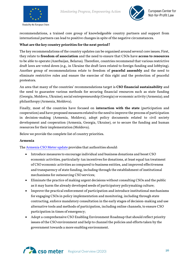





recommendations, a trained core group of knowledgeable country partners and support from international partners can lead to positive changes in spite of the negative circumstances.

#### **What are the key country priorities for the next period?**

The key recommendations of the country updates can be organised around several core issues. First, they relate to **freedom of association** and the need to ensure that CSOs have **access to resources** to be able to operate (Azerbaijan, Belarus). Therefore, countries recommend that various restrictive draft laws are voted down (e.g., in Ukraine the draft laws related to foreign funding and lobbying). Another group of recommendations relate to freedom of **peaceful assembly** and the need to eliminate restrictive rules and ensure the exercise of this right and the protection of peaceful protestors.

An area that many of the countries' recommendations target is **CSO financial sustainability** and the need to guarantee various methods for securing financial resources such as state funding (Georgia, Moldova, Ukraine); social entrepreneurship (Georgia) or economic activity (Armenia); and philanthropy (Armenia, Moldova).

Finally, most of the countries have focused on **interaction with the state** (participation and cooperation) and have proposed measures related to the need to improve the process of participation in decision-making (Armenia, Moldova), adopt policy documents related to civil society development and cooperation (Armenia, Georgia, Ukraine), or to secure the funding and human resources for their implementation (Moldova).

Below we provide the complete list of country priorities.

#### **Armenia**

The [Armenia CSO Meter update](https://csometer.info/sites/default/files/2020-12/CSO%20Meter%20Armenia%20Country%20Update%20ENG%20final.pdf) provides that authorities should:

- Introduce measures to encourage individual and business donations and boost CSO economic activities, particularly: tax incentives for donations, at least equal tax treatment of CSO economic activities as compared to business entities, and improved effectiveness and transparency of state funding, including through the establishment of institutional mechanisms for outsourcing CSO services;
- Eliminate the practice of making urgent decisions without consulting CSOs and the public as it may harm the already developed seeds of participatory policymaking culture;
- Improve the practical enforcement of participation and introduce institutional mechanisms for engaging CSOs in policy implementation and monitoring, including through state contracting, enforce mandatory consultation in the early stages of decision-making and use alternative tools and methods of participation, including online channels, to ensure CSO participation in times of emergency;
- Adopt a comprehensive CSO Enabling Environment Roadmap that should reflect priority issues of the CSO environment and help to channel the policies and efforts taken by the government towards a more enabling environment.

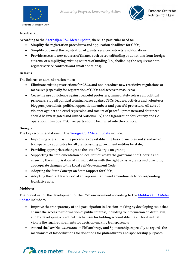



#### **Azerbaijan**

According to the [Azerbaijan CSO Meter](https://csometer.info/wp-content/uploads/2020/11/CSO-Meter-Country-Update-Azerbaijan-2020-English.pdf) update, there is a particular need to:

- Simplify the registration procedures and application deadlines for CSOs;
- Simplify or cancel the registration of grants, service contracts, and donations;
- Provide access to new sources of finance such as crowdfunding or donations from foreign citizens, or simplifying existing sources of funding (i.e., abolishing the requirement to register service contracts and small donations).

#### **Belarus**

The Belarusian administration must:

- Eliminate existing restrictions for CSOs and not introduce new restrictive regulations or measures (especially for registration of CSOs and access to resources);
- Cease the use of violence against peaceful protesters, immediately release all political prisoners, stop all political criminal cases against CSOs' leaders, activists and volunteers, bloggers, journalists, political opposition members and peaceful protesters. All acts of violence against and cruel repression and torture of peaceful protesters and detainees should be investigated and United Nations (UN) and Organization for Security and Cooperation in Europe (OSCE) experts should be invited into the country.

#### **Georgia**

The key recommendations in the Georgia [CSO Meter update](https://csometer.info/sites/default/files/2020-12/CSO%20Meter%20Country%20Update%20Georgia%202020.pdf) include:

- Improving of grant issuing procedures by establishing basic principles and standards of transparency applicable for all grant-issuing government entities by state;
- Providing appropriate changes to the law of Georgia on grants;
- Supporting the implementation of local initiatives by the government of Georgia and ensuring the authorisation of municipalities with the right to issue grants and providing appropriate changes to the Local Self-Government Code;
- Adopting the State Concept on State Support for CSOs;
- Adopting the draft law on social entrepreneurship and amendments to corresponding legislative acts.

#### **Moldova**

The priorities for the development of the CSO environment according to the [Moldova CSO Meter](https://csometer.info/sites/default/files/2020-12/Moldova%20Report%20CSO%20Meter%202020%20EN%20FINAL%20for%20the%20website.pdf)  [update](https://csometer.info/sites/default/files/2020-12/Moldova%20Report%20CSO%20Meter%202020%20EN%20FINAL%20for%20the%20website.pdf) include to:

- Improve the transparency of and participation in decision-making by developing tools that ensure the access to information of public interest, including to information on draft laws, and by developing a practical mechanism for holding accountable the authorities that violate the legal requirements for decision-making transparency;
- Amend the Law No 1420/2002 on Philanthropy and Sponsorship, especially as regards the mechanism of tax deductions for donations for philanthropy and sponsorship purposes;

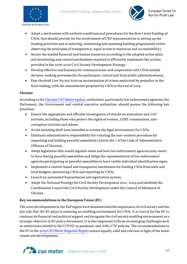



- Adopt a mechanism with uniform conditions and procedures for the direct state funding of CSOs, that should provide for the involvement of CSO representatives in setting up the funding priorities and in selecting, monitoring and assessing funding programmes (while observing the principles of transparency, equal access to resources and accountability);
- Secure the needed financial and human resources (according to the adopted action plan) and monitoring and control mechanisms required to efficiently implement the actions provided in the 2018-2020 Civil Society Development Strategy;
- Develop effective mechanisms for communication and cooperation with CSOs outside decision-making processes (by the parliament, central and local public administrations);
- Pass the draft Law No 301/2016 on incrimination of crimes motivated by prejudice in the final reading, with the amendments proposed by CSOs at the end of 2019.

#### **Ukraine**

According to the Ukraine [CSO Meter update,](https://csometer.info/sites/default/files/2020-11/CSO-METER-Ukraine-country-update-2020.pdf) authorities, particularly law enforcement agencies, the Parliament, the Government and central executive authorities, should pursue the following key priorities:

- Ensure the appropriate and efficient investigation of attacks on journalists and civil activists, including those who protect the rights of women, LGBT communities, anticorruption activists and others;
- Avoid initiating draft laws intended to worsen the legal environment for CSOs;
- Eliminate administrative responsibility for violating the non-existent procedure for organising and holding peaceful assemblies (Article 185-1 of the Code of Administrative Offences of Ukraine);
- Adopt legislation that would regulate when and how law enforcement agencies may resort to force during peaceful assemblies and oblige the representatives of law enforcement agencies participating in peaceful assemblies to have visible individual identification signs;
- Implement a contest-based and transparent mechanism for funding CSOs from state and local budgets, monitoring CSOs and reporting by CSOs;
- Launch an automated humanitarian aid registration system;
- Adopt the National Strategy for Civil Society Development 2021–2025 and establish the Coordination Council for Civil Society Development under the Council of Ministers of Ukraine.

#### **Key recommendations to the European Union (EU)**

The 2020 developments in the EaP region have demonstrated the importance of civil society and the key role that the EU plays in ensuring an enabling environment for CSOs. It is crucial for the EU to continue its financial and political support and recognise the civil society enabling environment as a strategic objective in EU policy documents. It is also important to focus on emerging challenges such as restrictions related to the COVID-19 pandemic and AML/CTF policies. The recommendations to the EU in th[e 2019 CSO Meter Regional Report](https://csometer.info/wp-content/uploads/2020/02/CSO-Meter-Regional-Report-Final2020-1.pdf) remain equally valid and relevant in light of the latest trends and developments.

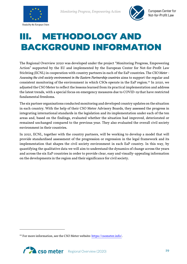



### <span id="page-28-0"></span>**METHODOLOGY AND** BACKGROUND INFORMATION

The Regional Overview 2020 was developed under the project "Monitoring Progress, Empowering Action" supported by the EU and implemented by the European Center for Not-for-Profit Law Stichting (ECNL) in cooperation with country partners in each of the EaP countries. The *CSO Meter - Assessing the civil society environment in the Eastern Partnership countries* aims to support the regular and consistent monitoring of the environment in which CSOs operate in the EaP region.<sup>[22](#page-28-1)</sup> In 2020, we adjusted the CSO Meter to reflect the lessons learned from its practical implementation and address the latest trends, with a special focus on emergency measures due to COVID-19 that have restricted fundamental freedoms.

The six partner organisations conducted monitoring and developed country updates on the situation in each country. With the help of their CSO Meter Advisory Boards, they assessed the progress in integrating international standards in the legislation and its implementation under each of the ten areas and, based on the findings, evaluated whether the situation had improved, deteriorated or remained unchanged compared to the previous year. They also evaluated the overall civil society environment in their countries.

In 2021, ECNL, together with the country partners, will be working to develop a model that will provide standardised assessment of the progression or regression in the legal framework and its implementation that shapes the civil society environment in each EaP country. In this way, by quantifying the qualitative data we will aim to understand the dynamics of change across the years and across the six EaP countries in order to provide clear, easy and visually-appealing information on the developments in the region and their significance for civil society.

<span id="page-28-1"></span><sup>&</sup>lt;sup>22</sup> For more information, see the CSO Meter website[: https://csometer.info/.](https://csometer.info/)